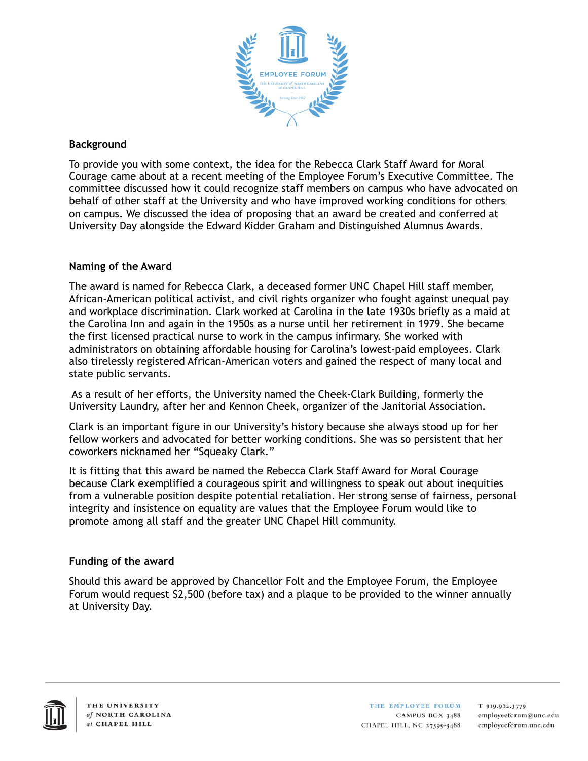

# **Background**

To provide you with some context, the idea for the Rebecca Clark Staff Award for Moral Courage came about at a recent meeting of the Employee Forum's Executive Committee. The committee discussed how it could recognize staff members on campus who have advocated on behalf of other staff at the University and who have improved working conditions for others on campus. We discussed the idea of proposing that an award be created and conferred at University Day alongside the Edward Kidder Graham and Distinguished Alumnus Awards.

## **Naming of the Award**

The award is named for Rebecca Clark, a deceased former UNC Chapel Hill staff member, African-American political activist, and civil rights organizer who fought against unequal pay and workplace discrimination. Clark worked at Carolina in the late 1930s briefly as a maid at the Carolina Inn and again in the 1950s as a nurse until her retirement in 1979. She became the first licensed practical nurse to work in the campus infirmary. She worked with administrators on obtaining affordable housing for Carolina's lowest-paid employees. Clark also tirelessly registered African-American voters and gained the respect of many local and state public servants.

 As a result of her efforts, the University named the Cheek-Clark Building, formerly the University Laundry, after her and Kennon Cheek, organizer of the Janitorial Association.

Clark is an important figure in our University's history because she always stood up for her fellow workers and advocated for better working conditions. She was so persistent that her coworkers nicknamed her "Squeaky Clark."

It is fitting that this award be named the Rebecca Clark Staff Award for Moral Courage because Clark exemplified a courageous spirit and willingness to speak out about inequities from a vulnerable position despite potential retaliation. Her strong sense of fairness, personal integrity and insistence on equality are values that the Employee Forum would like to promote among all staff and the greater UNC Chapel Hill community.

## **Funding of the award**

Should this award be approved by Chancellor Folt and the Employee Forum, the Employee Forum would request \$2,500 (before tax) and a plaque to be provided to the winner annually at University Day.



THE EMPLOYEE FORUM CAMPUS BOX 3488 CHAPEL HILL, NC 27599-3488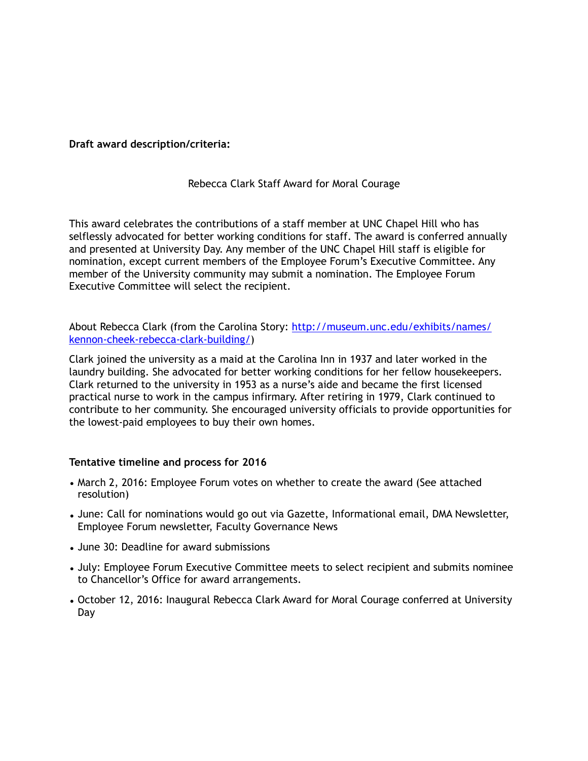### **Draft award description/criteria:**

### Rebecca Clark Staff Award for Moral Courage

This award celebrates the contributions of a staff member at UNC Chapel Hill who has selflessly advocated for better working conditions for staff. The award is conferred annually and presented at University Day. Any member of the UNC Chapel Hill staff is eligible for nomination, except current members of the Employee Forum's Executive Committee. Any member of the University community may submit a nomination. The Employee Forum Executive Committee will select the recipient.

[About Rebecca Clark \(from the Carolina Story: http://museum.unc.edu/exhibits/names/](http://museum.unc.edu/exhibits/names/kennon-cheek-rebecca-clark-building/) kennon-cheek-rebecca-clark-building/)

Clark joined the university as a maid at the Carolina Inn in 1937 and later worked in the laundry building. She advocated for better working conditions for her fellow housekeepers. Clark returned to the university in 1953 as a nurse's aide and became the first licensed practical nurse to work in the campus infirmary. After retiring in 1979, Clark continued to contribute to her community. She encouraged university officials to provide opportunities for the lowest-paid employees to buy their own homes.

#### **Tentative timeline and process for 2016**

- March 2, 2016: Employee Forum votes on whether to create the award (See attached resolution)
- June: Call for nominations would go out via Gazette, Informational email, DMA Newsletter, Employee Forum newsletter, Faculty Governance News
- June 30: Deadline for award submissions
- July: Employee Forum Executive Committee meets to select recipient and submits nominee to Chancellor's Office for award arrangements.
- October 12, 2016: Inaugural Rebecca Clark Award for Moral Courage conferred at University Day